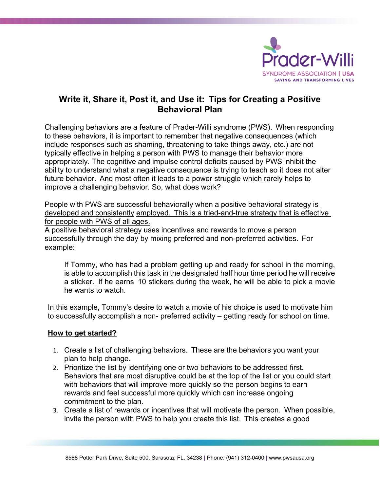

## **Write it, Share it, Post it, and Use it: Tips for Creating a Positive Behavioral Plan**

Challenging behaviors are a feature of Prader-Willi syndrome (PWS). When responding to these behaviors, it is important to remember that negative consequences (which include responses such as shaming, threatening to take things away, etc.) are not typically effective in helping a person with PWS to manage their behavior more appropriately. The cognitive and impulse control deficits caused by PWS inhibit the ability to understand what a negative consequence is trying to teach so it does not alter future behavior. And most often it leads to a power struggle which rarely helps to improve a challenging behavior. So, what does work?

People with PWS are successful behaviorally when a positive behavioral strategy is developed and consistently employed. This is a tried-and-true strategy that is effective for people with PWS of all ages.

A positive behavioral strategy uses incentives and rewards to move a person successfully through the day by mixing preferred and non-preferred activities. For example:

If Tommy, who has had a problem getting up and ready for school in the morning, is able to accomplish this task in the designated half hour time period he will receive a sticker. If he earns 10 stickers during the week, he will be able to pick a movie he wants to watch.

In this example, Tommy's desire to watch a movie of his choice is used to motivate him to successfully accomplish a non- preferred activity – getting ready for school on time.

## **How to get started?**

- 1. Create a list of challenging behaviors. These are the behaviors you want your plan to help change.
- 2. Prioritize the list by identifying one or two behaviors to be addressed first. Behaviors that are most disruptive could be at the top of the list or you could start with behaviors that will improve more quickly so the person begins to earn rewards and feel successful more quickly which can increase ongoing commitment to the plan.
- 3. Create a list of rewards or incentives that will motivate the person. When possible, invite the person with PWS to help you create this list. This creates a good